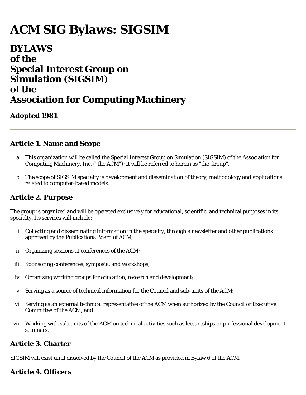# **ACM SIG Bylaws: SIGSIM**

## **BYLAWS of the Special Interest Group on Simulation (SIGSIM) of the Association for Computing Machinery**

### **Adopted 1981**

### **Article 1. Name and Scope**

- a. This organization will be called the Special Interest Group on Simulation (SIGSIM) of the Association for Computing Machinery, Inc. ("the ACM"); it will be referred to herein as "the Group".
- b. The scope of SIGSIM specialty is development and dissemination of theory, methodology and applications related to computer-based models.

### **Article 2. Purpose**

The group is organized and will be operated exclusively for educational, scientific, and technical purposes in its specialty. Its services will include:

- i. Collecting and disseminating information in the specialty, through a newsletter and other publications approved by the Publications Board of ACM;
- ii. Organizing sessions at conferences of the ACM;
- iii. Sponsoring conferences, symposia, and workshops;
- iv. Organizing working groups for education, research and development;
- v. Serving as a source of technical information for the Council and sub-units of the ACM;
- vi. Serving as an external technical representative of the ACM when authorized by the Council or Executive Committee of the ACM; and
- vii. Working with sub-units of the ACM on technical activities such as lectureships or professional development seminars.

### **Article 3. Charter**

SIGSIM will exist until dissolved by the Council of the ACM as provided in Bylaw 6 of the ACM.

### **Article 4. Officers**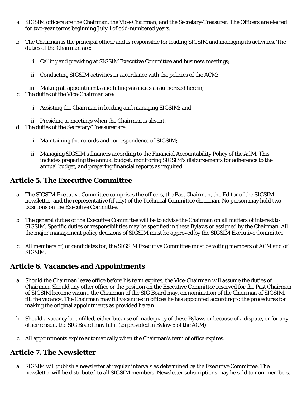- a. SIGSIM officers are the Chairman, the Vice-Chairman, and the Secretary-Treasurer. The Officers are elected for two-year terms beginning July 1 of odd-numbered years.
- b. The Chairman is the principal officer and is responsible for leading SIGSIM and managing its activities. The duties of the Chairman are:
	- i. Calling and presiding at SIGSIM Executive Committee and business meetings;
	- ii. Conducting SIGSIM activities in accordance with the policies of the ACM;
	- iii. Making all appointments and filling vacancies as authorized herein;
- c. The duties of the Vice-Chairman are:
	- i. Assisting the Chairman in leading and managing SIGSIM; and
	- ii. Presiding at meetings when the Chairman is absent.
- d. The duties of the Secretary/Treasurer are:
	- i. Maintaining the records and correspondence of SIGSIM;
	- ii. Managing SIGSIM's finances according to the Financial Accountability Policy of the ACM. This includes preparing the annual budget, monitoring SIGSIM's disbursements for adherence to the annual budget, and preparing financial reports as required.

### **Article 5. The Executive Committee**

- a. The SIGSIM Executive Committee comprises the officers, the Past Chairman, the Editor of the SIGSIM newsletter, and the representative (if any) of the Technical Committee chairman. No person may hold two positions on the Executive Committee.
- b. The general duties of the Executive Committee will be to advise the Chairman on all matters of interest to SIGSIM. Specific duties or responsibilities may be specified in these Bylaws or assigned by the Chairman. All the major management policy decisions of SIGSIM must be approved by the SIGSIM Executive Committee.
- c. All members of, or candidates for, the SIGSIM Executive Committee must be voting members of ACM and of SIGSIM.

### **Article 6. Vacancies and Appointments**

- a. Should the Chairman leave office before his term expires, the Vice-Chairman will assume the duties of Chairman. Should any other office or the position on the Executive Committee reserved for the Past Chairman of SIGSIM become vacant, the Chairman of the SIG Board may, on nomination of the Chairman of SIGSIM, fill the vacancy. The Chairman may fill vacancies in offices he has appointed according to the procedures for making the original appointments as provided herein.
- b. Should a vacancy be unfilled, either because of inadequacy of these Bylaws or because of a dispute, or for any other reason, the SIG Board may fill it (as provided in Bylaw 6 of the ACM).
- c. All appointments expire automatically when the Chairman's term of office expires.

### **Article 7. The Newsletter**

a. SIGSIM will publish a newsletter at regular intervals as determined by the Executive Committee. The newsletter will be distributed to all SIGSIM members. Newsletter subscriptions may be sold to non-members.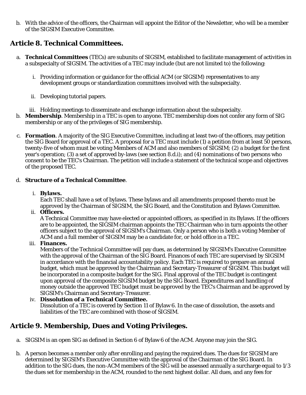b. With the advice of the officers, the Chairman will appoint the Editor of the Newsletter, who will be a member of the SIGSIM Executive Committee.

### **Article 8. Technical Committees.**

- a. **Technical Committees** (TECs) are subunits of SIGSIM, established to facilitate management of activities in a subspecialty of SIGSIM. The activities of a TEC may include (but are not limited to) the following:
	- i. Providing information or guidance for the official ACM (or SIGSIM) representatives to any development groups or standardization committees involved with the subspecialty.
	- ii. Developing tutorial papers.
	- iii. Holding meetings to disseminate and exchange information about the subspecialty.
- b. **Membership**. Membership in a TEC is open to anyone. TEC membership does not confer any form of SIG membership or any of the privileges of SIG membership.
- c. **Formation**. A majority of the SIG Executive Committee, including at least two of the officers, may petition the SIG Board for approval of a TEC. A proposal for a TEC must include (1) a petition from at least 50 persons, twenty-five of whom must be voting Members of ACM and also members of SIGSIM; (2) a budget for the first year's operation; (3) a set of approved by-laws (see section 8.d.i); and (4) nominations of two persons who consent to be the TEC's Chairman. The petition will include a statement of the technical scope and objectives of the proposed TEC.

#### d. **Structure of a Technical Committee**.

#### i. **Bylaws.**

Each TEC shall have a set of bylaws. These bylaws and all amendments proposed thereto must be approved by the Chairman of SIGSIM, the SIG Board, and the Constitution and Bylaws Committee.

ii. **Officers.**

A Technical Committee may have elected or appointed officers, as specified in its Bylaws. If the officers are to be appointed, the SIGSIM chairman appoints the TEC Chairman who in turn appoints the other officers subject to the approval of SIGSIM's Chairman. Only a person who is both a voting Member of ACM and a full member of SIGSIM may be a candidate for, or hold office in a TEC.

iii. **Finances.**

Members of the Technical Committee will pay dues, as determined by SIGSIM's Executive Committee with the approval of the Chairman of the SIG Board. Finances of each TEC are supervised by SIGSIM in accordance with the financial accountability policy. Each TEC is required to prepare an annual budget, which must be approved by the Chairman and Secretary-Treasurer of SIGSIM. This budget will be incorporated in a composite budget for the SIG. Final approval of the TEC budget is contingent upon approval of the composite SIGSIM budget by the SIG Board. Expenditures and handling of money outside the approved TEC budget must be approved by the TEC's Chairman and be approved by SIGSIM's Chairman and Secretary-Treasurer.

#### iv. **Dissolution of a Technical Committee.**

Dissolution of a TEC is covered by Section 11 of Bylaw 6. In the case of dissolution, the assets and liabilities of the TEC are combined with those of SIGSIM.

### **Article 9. Membership, Dues and Voting Privileges.**

- a. SIGSIM is an open SIG as defined in Section 6 of Bylaw 6 of the ACM. Anyone may join the SIG.
- b. A person becomes a member only after enrolling and paying the required dues. The dues for SIGSIM are determined by SIGSIM's Executive Committee with the approval of the Chairman of the SIG Board. In addition to the SIG dues, the non-ACM members of the SIG will be assessed annually a surcharge equal to 1/3 the dues set for membership in the ACM, rounded to the next highest dollar. All dues, and any fees for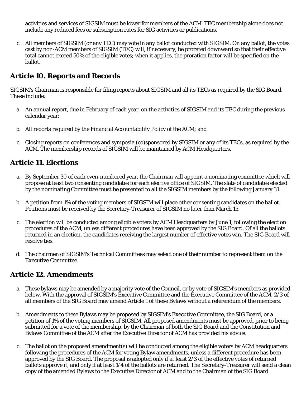activities and services of SIGSIM must be lower for members of the ACM. TEC membership alone does not include any reduced fees or subscription rates for SIG activities or publications.

c. All members of SIGSIM (or any TEC) may vote in any ballot conducted with SIGSIM. On any ballot, the votes cast by non-ACM members of SIGSIM (TEC) will, if necessary, be prorated downward so that their effective total cannot exceed 50% of the eligible votes; when it applies, the proration factor will be specified on the ballot.

### **Article 10. Reports and Records**

SIGSIM's Chairman is responsible for filing reports about SIGSIM and all its TECs as required by the SIG Board. These include:

- a. An annual report, due in February of each year, on the activities of SIGSIM and its TEC during the previous calendar year;
- b. All reports required by the Financial Accountability Policy of the ACM; and
- c. Closing reports on conferences and symposia (co)sponsored by SIGSIM or any of its TECs, as required by the ACM. The membership records of SIGSIM will be maintained by ACM Headquarters.

### **Article 11. Elections**

- a. By September 30 of each even-numbered year, the Chairman will appoint a nominating committee which will propose at least two consenting candidates for each elective office of SIGSIM. The slate of candidates elected by the nominating Committee must be presented to all the SIGSIM members by the following January 31.
- b. A petition from 1% of the voting members of SIGSIM will place other consenting candidates on the ballot. Petitions must be received by the Secretary-Treasurer of SIGSIM no later than March 15.
- c. The election will be conducted among eligible voters by ACM Headquarters by June 1, following the election procedures of the ACM, unless different procedures have been approved by the SIG Board. Of all the ballots returned in an election, the candidates receiving the largest number of effective votes win. The SIG Board will resolve ties.
- d. The chairmen of SIGSIM's Technical Committees may select one of their number to represent them on the Executive Committee.

### **Article 12. Amendments**

- a. These bylaws may be amended by a majority vote of the Council, or by vote of SIGSIM's members as provided below. With the approval of SIGSIM's Executive Committee and the Executive Committee of the ACM, 2/3 of all members of the SIG Board may amend Article 1 of these Bylaws without a referendum of the members.
- b. Amendments to these Bylaws may be proposed by SIGSIM's Executive Committee, the SIG Board, or a petition of 1% of the voting members of SIGSIM. All proposed amendments must be approved, prior to being submitted for a vote of the membership, by the Chairman of both the SIG Board and the Constitution and Bylaws Committee of the ACM after the Executive Director of ACM has provided his advice.
- c. The ballot on the proposed amendment(s) will be conducted among the eligible voters by ACM headquarters following the procedures of the ACM for voting Bylaw amendments, unless a different procedure has been approved by the SIG Board. The proposal is adopted only if at least 2/3 of the effective votes of returned ballots approve it, and only if at least 1/4 of the ballots are returned. The Secretary-Treasurer will send a clean copy of the amended Bylaws to the Executive Director of ACM and to the Chairman of the SIG Board.